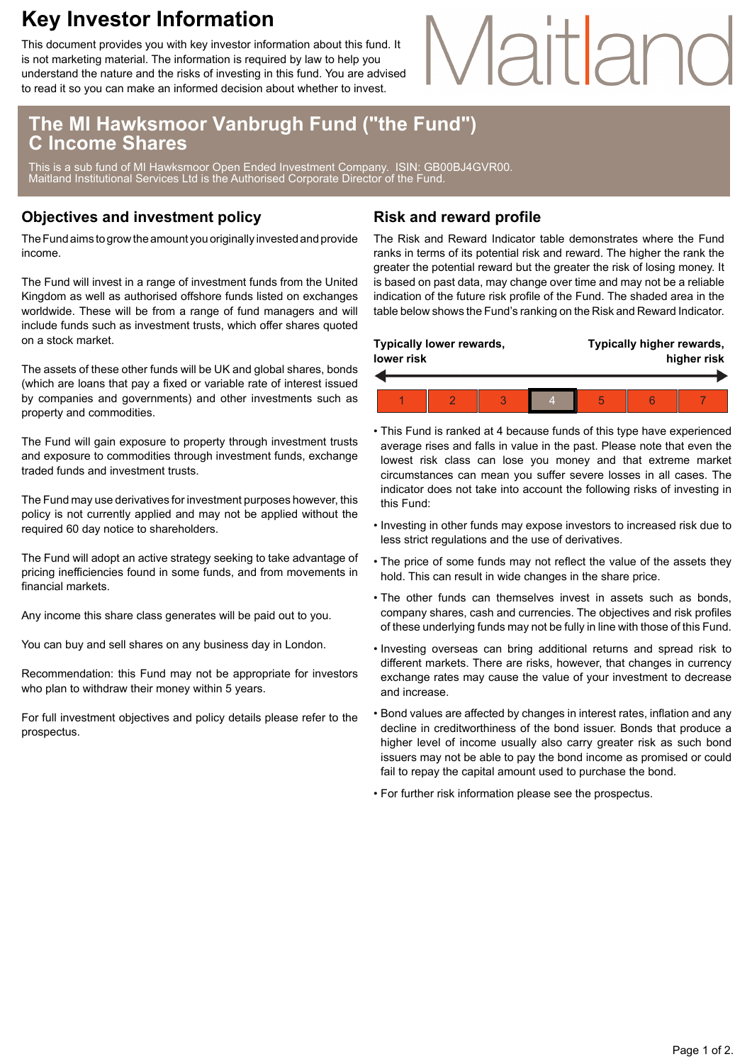## **Key Investor Information**

This document provides you with key investor information about this fund. It is not marketing material. The information is required by law to help you understand the nature and the risks of investing in this fund. You are advised to read it so you can make an informed decision about whether to invest.

# Maitlan

### **The MI Hawksmoor Vanbrugh Fund ("the Fund") C Income Shares**

This is a sub fund of MI Hawksmoor Open Ended Investment Company. ISIN: GB00BJ4GVR00. Maitland Institutional Services Ltd is the Authorised Corporate Director of the Fund.

#### **Objectives and investment policy**

The Fund aims to grow the amount you originally invested and provide income.

The Fund will invest in a range of investment funds from the United Kingdom as well as authorised offshore funds listed on exchanges worldwide. These will be from a range of fund managers and will include funds such as investment trusts, which offer shares quoted on a stock market.

The assets of these other funds will be UK and global shares, bonds (which are loans that pay a fixed or variable rate of interest issued by companies and governments) and other investments such as property and commodities.

The Fund will gain exposure to property through investment trusts and exposure to commodities through investment funds, exchange traded funds and investment trusts.

The Fund may use derivatives for investment purposes however, this policy is not currently applied and may not be applied without the required 60 day notice to shareholders.

The Fund will adopt an active strategy seeking to take advantage of pricing inefficiencies found in some funds, and from movements in financial markets.

Any income this share class generates will be paid out to you.

You can buy and sell shares on any business day in London.

Recommendation: this Fund may not be appropriate for investors who plan to withdraw their money within 5 years.

For full investment objectives and policy details please refer to the prospectus.

#### **Risk and reward profile**

The Risk and Reward Indicator table demonstrates where the Fund ranks in terms of its potential risk and reward. The higher the rank the greater the potential reward but the greater the risk of losing money. It is based on past data, may change over time and may not be a reliable indication of the future risk profile of the Fund. The shaded area in the table below shows the Fund's ranking on the Risk and Reward Indicator.

| <b>Typically lower rewards,</b><br>lower risk |  |  |  |  | Typically higher rewards,<br>higher risk |  |  |
|-----------------------------------------------|--|--|--|--|------------------------------------------|--|--|
|                                               |  |  |  |  |                                          |  |  |
|                                               |  |  |  |  | 5                                        |  |  |

- This Fund is ranked at 4 because funds of this type have experienced average rises and falls in value in the past. Please note that even the lowest risk class can lose you money and that extreme market circumstances can mean you suffer severe losses in all cases. The indicator does not take into account the following risks of investing in this Fund:
- Investing in other funds may expose investors to increased risk due to less strict regulations and the use of derivatives.
- The price of some funds may not reflect the value of the assets they hold. This can result in wide changes in the share price.
- The other funds can themselves invest in assets such as bonds, company shares, cash and currencies. The objectives and risk profiles of these underlying funds may not be fully in line with those of this Fund.
- Investing overseas can bring additional returns and spread risk to different markets. There are risks, however, that changes in currency exchange rates may cause the value of your investment to decrease and increase.
- Bond values are affected by changes in interest rates, inflation and any decline in creditworthiness of the bond issuer. Bonds that produce a higher level of income usually also carry greater risk as such bond issuers may not be able to pay the bond income as promised or could fail to repay the capital amount used to purchase the bond.
- For further risk information please see the prospectus.